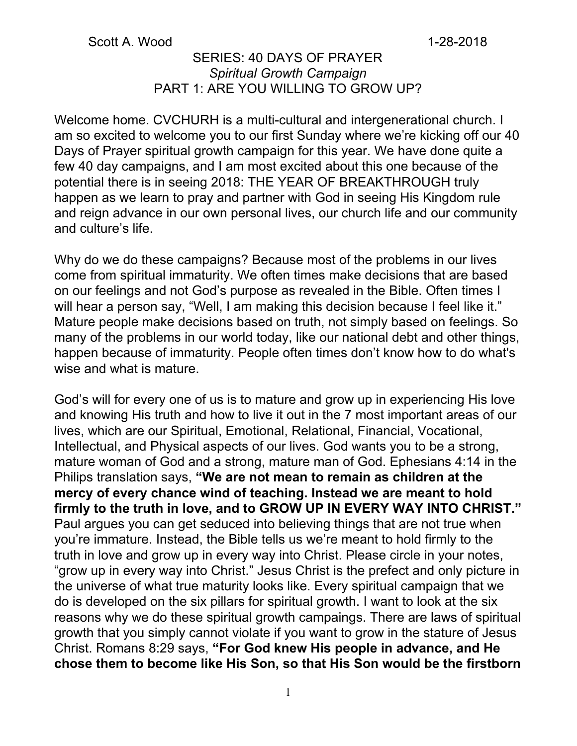#### Scott A. Wood 1-28-2018

### SERIES: 40 DAYS OF PRAYER *Spiritual Growth Campaign* PART 1: ARE YOU WILLING TO GROW UP?

Welcome home. CVCHURH is a multi-cultural and intergenerational church. I am so excited to welcome you to our first Sunday where we're kicking off our 40 Days of Prayer spiritual growth campaign for this year. We have done quite a few 40 day campaigns, and I am most excited about this one because of the potential there is in seeing 2018: THE YEAR OF BREAKTHROUGH truly happen as we learn to pray and partner with God in seeing His Kingdom rule and reign advance in our own personal lives, our church life and our community and culture's life.

Why do we do these campaigns? Because most of the problems in our lives come from spiritual immaturity. We often times make decisions that are based on our feelings and not God's purpose as revealed in the Bible. Often times I will hear a person say, "Well, I am making this decision because I feel like it." Mature people make decisions based on truth, not simply based on feelings. So many of the problems in our world today, like our national debt and other things, happen because of immaturity. People often times don't know how to do what's wise and what is mature.

God's will for every one of us is to mature and grow up in experiencing His love and knowing His truth and how to live it out in the 7 most important areas of our lives, which are our Spiritual, Emotional, Relational, Financial, Vocational, Intellectual, and Physical aspects of our lives. God wants you to be a strong, mature woman of God and a strong, mature man of God. Ephesians 4:14 in the Philips translation says, **"We are not mean to remain as children at the mercy of every chance wind of teaching. Instead we are meant to hold firmly to the truth in love, and to GROW UP IN EVERY WAY INTO CHRIST."** Paul argues you can get seduced into believing things that are not true when you're immature. Instead, the Bible tells us we're meant to hold firmly to the truth in love and grow up in every way into Christ. Please circle in your notes, "grow up in every way into Christ." Jesus Christ is the prefect and only picture in the universe of what true maturity looks like. Every spiritual campaign that we do is developed on the six pillars for spiritual growth. I want to look at the six reasons why we do these spiritual growth campaings. There are laws of spiritual growth that you simply cannot violate if you want to grow in the stature of Jesus Christ. Romans 8:29 says, **"For God knew His people in advance, and He chose them to become like His Son, so that His Son would be the firstborn**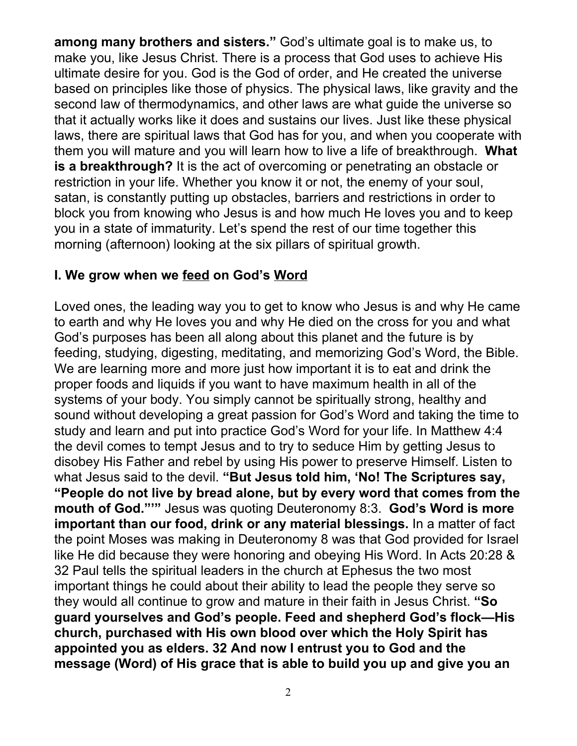**among many brothers and sisters."** God's ultimate goal is to make us, to make you, like Jesus Christ. There is a process that God uses to achieve His ultimate desire for you. God is the God of order, and He created the universe based on principles like those of physics. The physical laws, like gravity and the second law of thermodynamics, and other laws are what guide the universe so that it actually works like it does and sustains our lives. Just like these physical laws, there are spiritual laws that God has for you, and when you cooperate with them you will mature and you will learn how to live a life of breakthrough. **What is a breakthrough?** It is the act of overcoming or penetrating an obstacle or restriction in your life. Whether you know it or not, the enemy of your soul, satan, is constantly putting up obstacles, barriers and restrictions in order to block you from knowing who Jesus is and how much He loves you and to keep you in a state of immaturity. Let's spend the rest of our time together this morning (afternoon) looking at the six pillars of spiritual growth.

## **I. We grow when we feed on God's Word**

Loved ones, the leading way you to get to know who Jesus is and why He came to earth and why He loves you and why He died on the cross for you and what God's purposes has been all along about this planet and the future is by feeding, studying, digesting, meditating, and memorizing God's Word, the Bible. We are learning more and more just how important it is to eat and drink the proper foods and liquids if you want to have maximum health in all of the systems of your body. You simply cannot be spiritually strong, healthy and sound without developing a great passion for God's Word and taking the time to study and learn and put into practice God's Word for your life. In Matthew 4:4 the devil comes to tempt Jesus and to try to seduce Him by getting Jesus to disobey His Father and rebel by using His power to preserve Himself. Listen to what Jesus said to the devil. **"But Jesus told him, 'No! The Scriptures say, "People do not live by bread alone, but by every word that comes from the mouth of God."'"** Jesus was quoting Deuteronomy 8:3. **God's Word is more important than our food, drink or any material blessings.** In a matter of fact the point Moses was making in Deuteronomy 8 was that God provided for Israel like He did because they were honoring and obeying His Word. In Acts 20:28 & 32 Paul tells the spiritual leaders in the church at Ephesus the two most important things he could about their ability to lead the people they serve so they would all continue to grow and mature in their faith in Jesus Christ. **"So guard yourselves and God's people. Feed and shepherd God's flock—His church, purchased with His own blood over which the Holy Spirit has appointed you as elders. 32 And now I entrust you to God and the message (Word) of His grace that is able to build you up and give you an**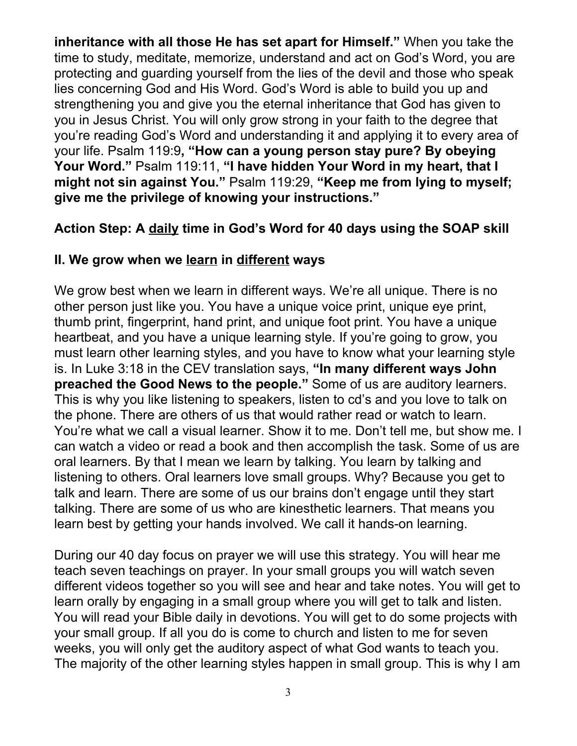**inheritance with all those He has set apart for Himself."** When you take the time to study, meditate, memorize, understand and act on God's Word, you are protecting and guarding yourself from the lies of the devil and those who speak lies concerning God and His Word. God's Word is able to build you up and strengthening you and give you the eternal inheritance that God has given to you in Jesus Christ. You will only grow strong in your faith to the degree that you're reading God's Word and understanding it and applying it to every area of your life. Psalm 119:9**, "How can a young person stay pure? By obeying Your Word."** Psalm 119:11, **"I have hidden Your Word in my heart, that I might not sin against You."** Psalm 119:29, **"Keep me from lying to myself; give me the privilege of knowing your instructions."**

## **Action Step: A daily time in God's Word for 40 days using the SOAP skill**

### **II. We grow when we learn in different ways**

We grow best when we learn in different ways. We're all unique. There is no other person just like you. You have a unique voice print, unique eye print, thumb print, fingerprint, hand print, and unique foot print. You have a unique heartbeat, and you have a unique learning style. If you're going to grow, you must learn other learning styles, and you have to know what your learning style is. In Luke 3:18 in the CEV translation says, **"In many different ways John preached the Good News to the people."** Some of us are auditory learners. This is why you like listening to speakers, listen to cd's and you love to talk on the phone. There are others of us that would rather read or watch to learn. You're what we call a visual learner. Show it to me. Don't tell me, but show me. I can watch a video or read a book and then accomplish the task. Some of us are oral learners. By that I mean we learn by talking. You learn by talking and listening to others. Oral learners love small groups. Why? Because you get to talk and learn. There are some of us our brains don't engage until they start talking. There are some of us who are kinesthetic learners. That means you learn best by getting your hands involved. We call it hands-on learning.

During our 40 day focus on prayer we will use this strategy. You will hear me teach seven teachings on prayer. In your small groups you will watch seven different videos together so you will see and hear and take notes. You will get to learn orally by engaging in a small group where you will get to talk and listen. You will read your Bible daily in devotions. You will get to do some projects with your small group. If all you do is come to church and listen to me for seven weeks, you will only get the auditory aspect of what God wants to teach you. The majority of the other learning styles happen in small group. This is why I am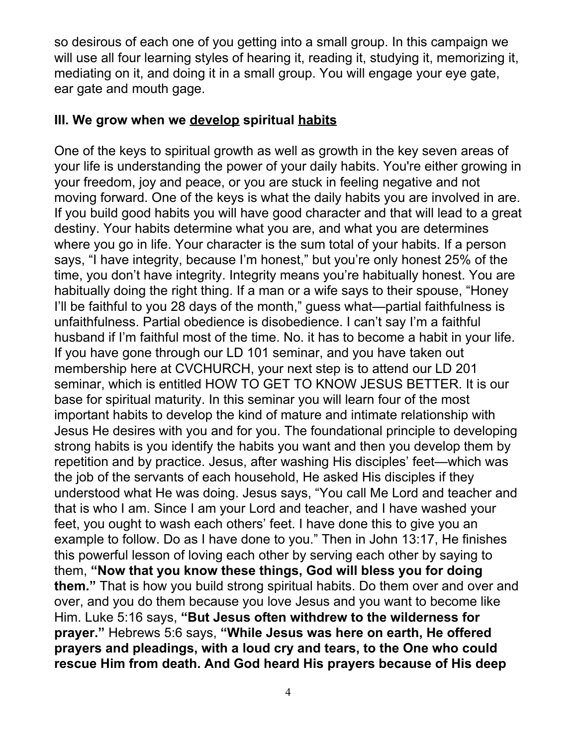so desirous of each one of you getting into a small group. In this campaign we will use all four learning styles of hearing it, reading it, studying it, memorizing it, mediating on it, and doing it in a small group. You will engage your eye gate, ear gate and mouth gage.

### **III. We grow when we develop spiritual habits**

One of the keys to spiritual growth as well as growth in the key seven areas of your life is understanding the power of your daily habits. You're either growing in your freedom, joy and peace, or you are stuck in feeling negative and not moving forward. One of the keys is what the daily habits you are involved in are. If you build good habits you will have good character and that will lead to a great destiny. Your habits determine what you are, and what you are determines where you go in life. Your character is the sum total of your habits. If a person says, "I have integrity, because I'm honest," but you're only honest 25% of the time, you don't have integrity. Integrity means you're habitually honest. You are habitually doing the right thing. If a man or a wife says to their spouse, "Honey I'll be faithful to you 28 days of the month," guess what—partial faithfulness is unfaithfulness. Partial obedience is disobedience. I can't say I'm a faithful husband if I'm faithful most of the time. No. it has to become a habit in your life. If you have gone through our LD 101 seminar, and you have taken out membership here at CVCHURCH, your next step is to attend our LD 201 seminar, which is entitled HOW TO GET TO KNOW JESUS BETTER. It is our base for spiritual maturity. In this seminar you will learn four of the most important habits to develop the kind of mature and intimate relationship with Jesus He desires with you and for you. The foundational principle to developing strong habits is you identify the habits you want and then you develop them by repetition and by practice. Jesus, after washing His disciples' feet—which was the job of the servants of each household, He asked His disciples if they understood what He was doing. Jesus says, "You call Me Lord and teacher and that is who I am. Since I am your Lord and teacher, and I have washed your feet, you ought to wash each others' feet. I have done this to give you an example to follow. Do as I have done to you." Then in John 13:17, He finishes this powerful lesson of loving each other by serving each other by saying to them, **"Now that you know these things, God will bless you for doing them."** That is how you build strong spiritual habits. Do them over and over and over, and you do them because you love Jesus and you want to become like Him. Luke 5:16 says, **"But Jesus often withdrew to the wilderness for prayer."** Hebrews 5:6 says, **"While Jesus was here on earth, He offered prayers and pleadings, with a loud cry and tears, to the One who could rescue Him from death. And God heard His prayers because of His deep**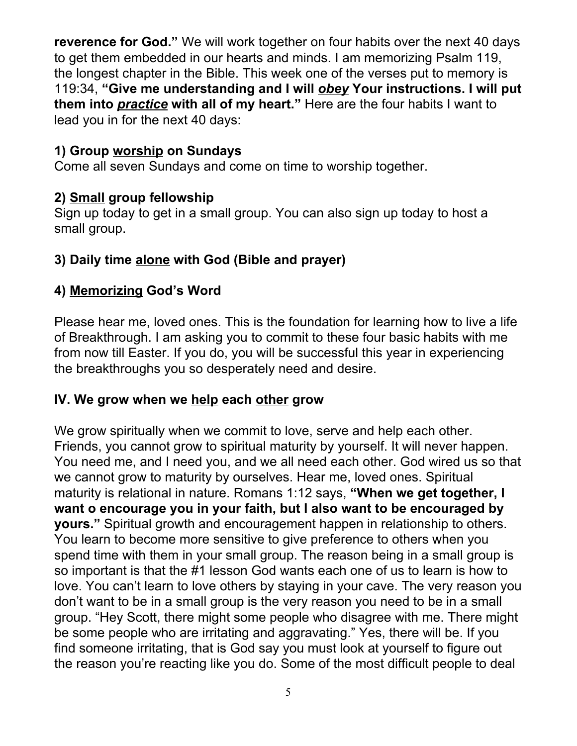**reverence for God."** We will work together on four habits over the next 40 days to get them embedded in our hearts and minds. I am memorizing Psalm 119, the longest chapter in the Bible. This week one of the verses put to memory is 119:34, **"Give me understanding and I will** *obey* **Your instructions. I will put them into** *practice* **with all of my heart."** Here are the four habits I want to lead you in for the next 40 days:

## **1) Group worship on Sundays**

Come all seven Sundays and come on time to worship together.

## **2) Small group fellowship**

Sign up today to get in a small group. You can also sign up today to host a small group.

# **3) Daily time alone with God (Bible and prayer)**

## **4) Memorizing God's Word**

Please hear me, loved ones. This is the foundation for learning how to live a life of Breakthrough. I am asking you to commit to these four basic habits with me from now till Easter. If you do, you will be successful this year in experiencing the breakthroughs you so desperately need and desire.

## **IV. We grow when we help each other grow**

We grow spiritually when we commit to love, serve and help each other. Friends, you cannot grow to spiritual maturity by yourself. It will never happen. You need me, and I need you, and we all need each other. God wired us so that we cannot grow to maturity by ourselves. Hear me, loved ones. Spiritual maturity is relational in nature. Romans 1:12 says, **"When we get together, I want o encourage you in your faith, but I also want to be encouraged by yours."** Spiritual growth and encouragement happen in relationship to others. You learn to become more sensitive to give preference to others when you spend time with them in your small group. The reason being in a small group is so important is that the #1 lesson God wants each one of us to learn is how to love. You can't learn to love others by staying in your cave. The very reason you don't want to be in a small group is the very reason you need to be in a small group. "Hey Scott, there might some people who disagree with me. There might be some people who are irritating and aggravating." Yes, there will be. If you find someone irritating, that is God say you must look at yourself to figure out the reason you're reacting like you do. Some of the most difficult people to deal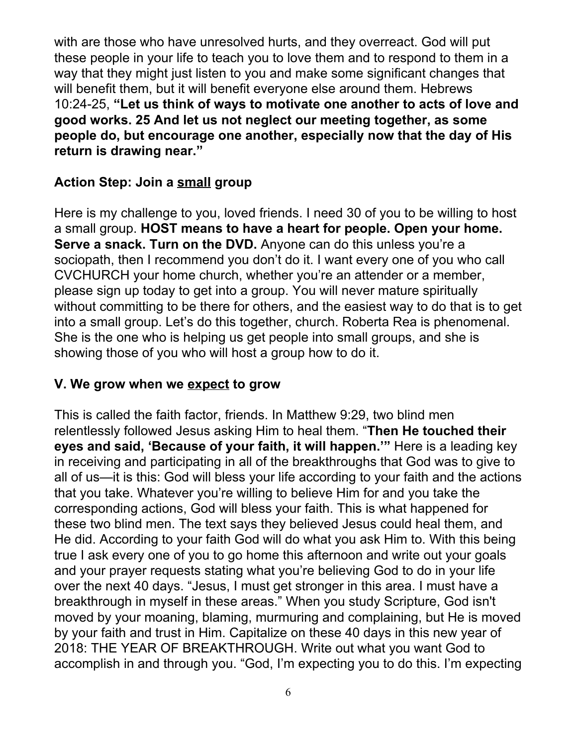with are those who have unresolved hurts, and they overreact. God will put these people in your life to teach you to love them and to respond to them in a way that they might just listen to you and make some significant changes that will benefit them, but it will benefit everyone else around them. Hebrews 10:24-25, **"Let us think of ways to motivate one another to acts of love and good works. 25 And let us not neglect our meeting together, as some people do, but encourage one another, especially now that the day of His return is drawing near."**

## **Action Step: Join a small group**

Here is my challenge to you, loved friends. I need 30 of you to be willing to host a small group. **HOST means to have a heart for people. Open your home. Serve a snack. Turn on the DVD.** Anyone can do this unless you're a sociopath, then I recommend you don't do it. I want every one of you who call CVCHURCH your home church, whether you're an attender or a member, please sign up today to get into a group. You will never mature spiritually without committing to be there for others, and the easiest way to do that is to get into a small group. Let's do this together, church. Roberta Rea is phenomenal. She is the one who is helping us get people into small groups, and she is showing those of you who will host a group how to do it.

### **V. We grow when we expect to grow**

This is called the faith factor, friends. In Matthew 9:29, two blind men relentlessly followed Jesus asking Him to heal them. "**Then He touched their eyes and said, 'Because of your faith, it will happen.'"** Here is a leading key in receiving and participating in all of the breakthroughs that God was to give to all of us—it is this: God will bless your life according to your faith and the actions that you take. Whatever you're willing to believe Him for and you take the corresponding actions, God will bless your faith. This is what happened for these two blind men. The text says they believed Jesus could heal them, and He did. According to your faith God will do what you ask Him to. With this being true I ask every one of you to go home this afternoon and write out your goals and your prayer requests stating what you're believing God to do in your life over the next 40 days. "Jesus, I must get stronger in this area. I must have a breakthrough in myself in these areas." When you study Scripture, God isn't moved by your moaning, blaming, murmuring and complaining, but He is moved by your faith and trust in Him. Capitalize on these 40 days in this new year of 2018: THE YEAR OF BREAKTHROUGH. Write out what you want God to accomplish in and through you. "God, I'm expecting you to do this. I'm expecting